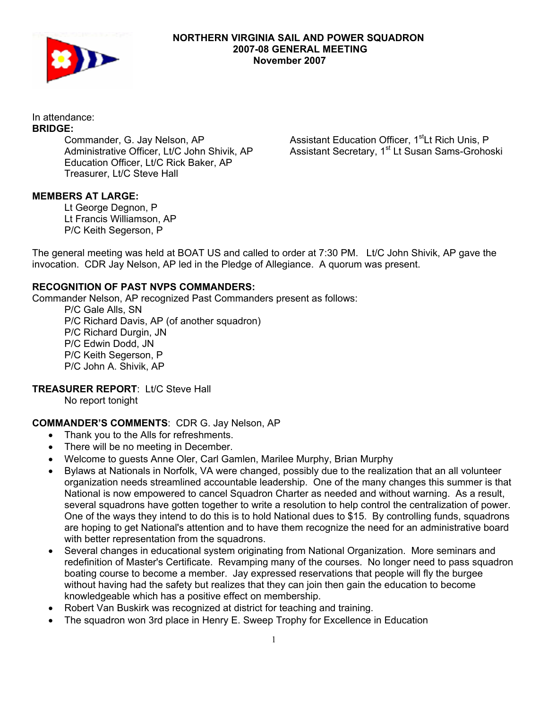

#### **NORTHERN VIRGINIA SAIL AND POWER SQUADRON 2007-08 GENERAL MEETING November 2007**

In attendance:

# **BRIDGE:**

Commander, G. Jay Nelson, AP Administrative Officer, Lt/C John Shivik, AP Education Officer, Lt/C Rick Baker, AP Treasurer, Lt/C Steve Hall

Assistant Education Officer, 1<sup>st</sup>Lt Rich Unis, P Assistant Secretary, 1<sup>st</sup> Lt Susan Sams-Grohoski

### **MEMBERS AT LARGE:**

Lt George Degnon, P Lt Francis Williamson, AP P/C Keith Segerson, P

The general meeting was held at BOAT US and called to order at 7:30 PM. Lt/C John Shivik, AP gave the invocation. CDR Jay Nelson, AP led in the Pledge of Allegiance. A quorum was present.

#### **RECOGNITION OF PAST NVPS COMMANDERS:**

Commander Nelson, AP recognized Past Commanders present as follows:

P/C Gale Alls, SN P/C Richard Davis, AP (of another squadron) P/C Richard Durgin, JN P/C Edwin Dodd, JN P/C Keith Segerson, P P/C John A. Shivik, AP

**TREASURER REPORT**: Lt/C Steve Hall

No report tonight

### **COMMANDER'S COMMENTS**: CDR G. Jay Nelson, AP

- Thank you to the Alls for refreshments.
- There will be no meeting in December.
- Welcome to guests Anne Oler, Carl Gamlen, Marilee Murphy, Brian Murphy
- Bylaws at Nationals in Norfolk, VA were changed, possibly due to the realization that an all volunteer organization needs streamlined accountable leadership. One of the many changes this summer is that National is now empowered to cancel Squadron Charter as needed and without warning. As a result, several squadrons have gotten together to write a resolution to help control the centralization of power. One of the ways they intend to do this is to hold National dues to \$15. By controlling funds, squadrons are hoping to get National's attention and to have them recognize the need for an administrative board with better representation from the squadrons.
- Several changes in educational system originating from National Organization. More seminars and redefinition of Master's Certificate. Revamping many of the courses. No longer need to pass squadron boating course to become a member. Jay expressed reservations that people will fly the burgee without having had the safety but realizes that they can join then gain the education to become knowledgeable which has a positive effect on membership.
- Robert Van Buskirk was recognized at district for teaching and training.
- The squadron won 3rd place in Henry E. Sweep Trophy for Excellence in Education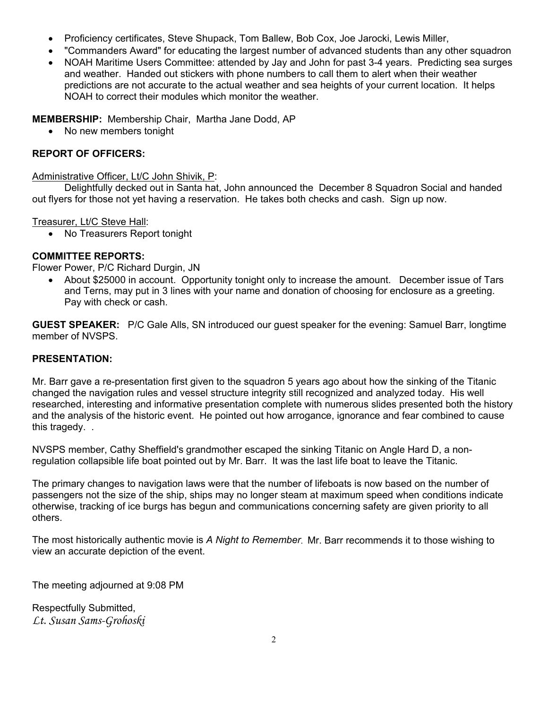- Proficiency certificates, Steve Shupack, Tom Ballew, Bob Cox, Joe Jarocki, Lewis Miller,
- "Commanders Award" for educating the largest number of advanced students than any other squadron
- NOAH Maritime Users Committee: attended by Jay and John for past 3-4 years. Predicting sea surges and weather. Handed out stickers with phone numbers to call them to alert when their weather predictions are not accurate to the actual weather and sea heights of your current location. It helps NOAH to correct their modules which monitor the weather.

**MEMBERSHIP:** Membership Chair, Martha Jane Dodd, AP

No new members tonight

### **REPORT OF OFFICERS:**

Administrative Officer, Lt/C John Shivik, P:

Delightfully decked out in Santa hat, John announced the December 8 Squadron Social and handed out flyers for those not yet having a reservation. He takes both checks and cash. Sign up now.

Treasurer, Lt/C Steve Hall:

• No Treasurers Report tonight

### **COMMITTEE REPORTS:**

Flower Power, P/C Richard Durgin, JN

• About \$25000 in account. Opportunity tonight only to increase the amount. December issue of Tars and Terns, may put in 3 lines with your name and donation of choosing for enclosure as a greeting. Pay with check or cash.

**GUEST SPEAKER:** P/C Gale Alls, SN introduced our guest speaker for the evening: Samuel Barr, longtime member of NVSPS.

## **PRESENTATION:**

Mr. Barr gave a re-presentation first given to the squadron 5 years ago about how the sinking of the Titanic changed the navigation rules and vessel structure integrity still recognized and analyzed today. His well researched, interesting and informative presentation complete with numerous slides presented both the history and the analysis of the historic event. He pointed out how arrogance, ignorance and fear combined to cause this tragedy. .

NVSPS member, Cathy Sheffield's grandmother escaped the sinking Titanic on Angle Hard D, a nonregulation collapsible life boat pointed out by Mr. Barr. It was the last life boat to leave the Titanic.

The primary changes to navigation laws were that the number of lifeboats is now based on the number of passengers not the size of the ship, ships may no longer steam at maximum speed when conditions indicate otherwise, tracking of ice burgs has begun and communications concerning safety are given priority to all others.

The most historically authentic movie is *A Night to Remember*. Mr. Barr recommends it to those wishing to view an accurate depiction of the event.

The meeting adjourned at 9:08 PM

Respectfully Submitted, *Lt. Susan Sams-Grohoski*